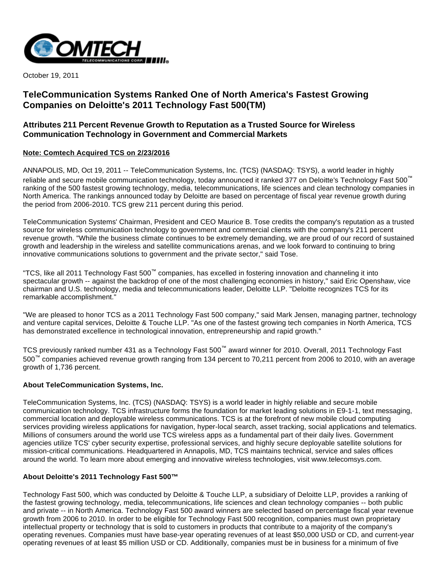

October 19, 2011

# **TeleCommunication Systems Ranked One of North America's Fastest Growing Companies on Deloitte's 2011 Technology Fast 500(TM)**

# **Attributes 211 Percent Revenue Growth to Reputation as a Trusted Source for Wireless Communication Technology in Government and Commercial Markets**

## **Note: Comtech Acquired TCS on 2/23/2016**

ANNAPOLIS, MD, Oct 19, 2011 -- TeleCommunication Systems, Inc. (TCS) (NASDAQ: TSYS), a world leader in highly reliable and secure mobile communication technology, today announced it ranked 377 on Deloitte's Technology Fast 500™ ranking of the 500 fastest growing technology, media, telecommunications, life sciences and clean technology companies in North America. The rankings announced today by Deloitte are based on percentage of fiscal year revenue growth during the period from 2006-2010. TCS grew 211 percent during this period.

TeleCommunication Systems' Chairman, President and CEO Maurice B. Tose credits the company's reputation as a trusted source for wireless communication technology to government and commercial clients with the company's 211 percent revenue growth. "While the business climate continues to be extremely demanding, we are proud of our record of sustained growth and leadership in the wireless and satellite communications arenas, and we look forward to continuing to bring innovative communications solutions to government and the private sector," said Tose.

"TCS, like all 2011 Technology Fast 500™ companies, has excelled in fostering innovation and channeling it into spectacular growth -- against the backdrop of one of the most challenging economies in history," said Eric Openshaw, vice chairman and U.S. technology, media and telecommunications leader, Deloitte LLP. "Deloitte recognizes TCS for its remarkable accomplishment."

"We are pleased to honor TCS as a 2011 Technology Fast 500 company," said Mark Jensen, managing partner, technology and venture capital services, Deloitte & Touche LLP. "As one of the fastest growing tech companies in North America, TCS has demonstrated excellence in technological innovation, entrepreneurship and rapid growth."

TCS previously ranked number 431 as a Technology Fast 500™ award winner for 2010. Overall, 2011 Technology Fast 500™ companies achieved revenue growth ranging from 134 percent to 70,211 percent from 2006 to 2010, with an average growth of 1,736 percent.

### **About TeleCommunication Systems, Inc.**

TeleCommunication Systems, Inc. (TCS) (NASDAQ: TSYS) is a world leader in highly reliable and secure mobile communication technology. TCS infrastructure forms the foundation for market leading solutions in E9-1-1, text messaging, commercial location and deployable wireless communications. TCS is at the forefront of new mobile cloud computing services providing wireless applications for navigation, hyper-local search, asset tracking, social applications and telematics. Millions of consumers around the world use TCS wireless apps as a fundamental part of their daily lives. Government agencies utilize TCS' cyber security expertise, professional services, and highly secure deployable satellite solutions for mission-critical communications. Headquartered in Annapolis, MD, TCS maintains technical, service and sales offices around the world. To learn more about emerging and innovative wireless technologies, visit www.telecomsys.com.

### **About Deloitte's 2011 Technology Fast 500™**

Technology Fast 500, which was conducted by Deloitte & Touche LLP, a subsidiary of Deloitte LLP, provides a ranking of the fastest growing technology, media, telecommunications, life sciences and clean technology companies -- both public and private -- in North America. Technology Fast 500 award winners are selected based on percentage fiscal year revenue growth from 2006 to 2010. In order to be eligible for Technology Fast 500 recognition, companies must own proprietary intellectual property or technology that is sold to customers in products that contribute to a majority of the company's operating revenues. Companies must have base-year operating revenues of at least \$50,000 USD or CD, and current-year operating revenues of at least \$5 million USD or CD. Additionally, companies must be in business for a minimum of five